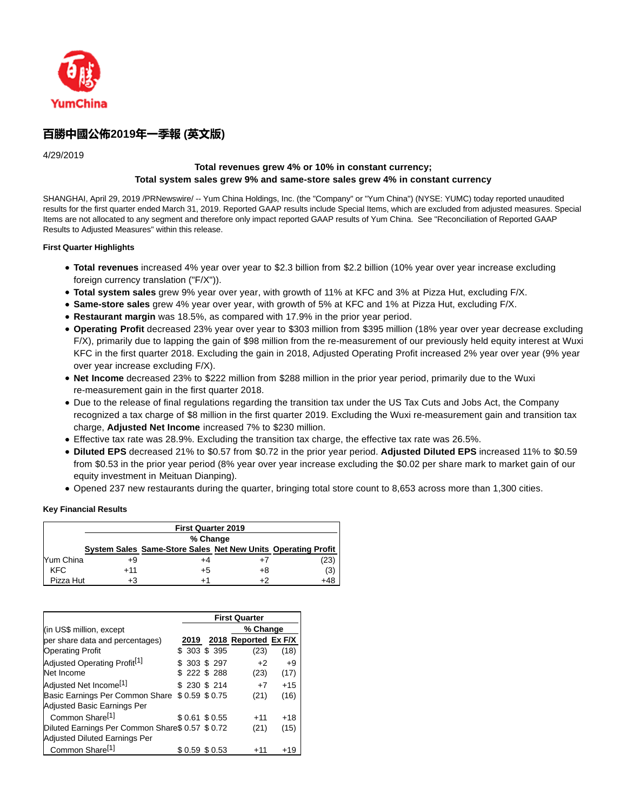

# **百勝中國公佈2019年一季報 (英文版)**

4/29/2019

# **Total revenues grew 4% or 10% in constant currency; Total system sales grew 9% and same-store sales grew 4% in constant currency**

SHANGHAI, April 29, 2019 /PRNewswire/ -- Yum China Holdings, Inc. (the "Company" or "Yum China") (NYSE: YUMC) today reported unaudited results for the first quarter ended March 31, 2019. Reported GAAP results include Special Items, which are excluded from adjusted measures. Special Items are not allocated to any segment and therefore only impact reported GAAP results of Yum China. See "Reconciliation of Reported GAAP Results to Adjusted Measures" within this release.

# **First Quarter Highlights**

- **Total revenues** increased 4% year over year to \$2.3 billion from \$2.2 billion (10% year over year increase excluding foreign currency translation ("F/X")).
- **Total system sales** grew 9% year over year, with growth of 11% at KFC and 3% at Pizza Hut, excluding F/X.
- **Same-store sales** grew 4% year over year, with growth of 5% at KFC and 1% at Pizza Hut, excluding F/X.
- **Restaurant margin** was 18.5%, as compared with 17.9% in the prior year period.
- **Operating Profit** decreased 23% year over year to \$303 million from \$395 million (18% year over year decrease excluding F/X), primarily due to lapping the gain of \$98 million from the re-measurement of our previously held equity interest at Wuxi KFC in the first quarter 2018. Excluding the gain in 2018, Adjusted Operating Profit increased 2% year over year (9% year over year increase excluding F/X).
- **Net Income** decreased 23% to \$222 million from \$288 million in the prior year period, primarily due to the Wuxi re-measurement gain in the first quarter 2018.
- Due to the release of final regulations regarding the transition tax under the US Tax Cuts and Jobs Act, the Company recognized a tax charge of \$8 million in the first quarter 2019. Excluding the Wuxi re-measurement gain and transition tax charge, **Adjusted Net Income** increased 7% to \$230 million.
- Effective tax rate was 28.9%. Excluding the transition tax charge, the effective tax rate was 26.5%.
- **Diluted EPS** decreased 21% to \$0.57 from \$0.72 in the prior year period. **Adjusted Diluted EPS** increased 11% to \$0.59 from \$0.53 in the prior year period (8% year over year increase excluding the \$0.02 per share mark to market gain of our equity investment in Meituan Dianping).
- Opened 237 new restaurants during the quarter, bringing total store count to 8,653 across more than 1,300 cities.

# **Key Financial Results**

|                  |          | <b>First Quarter 2019</b>                                    |    |     |  |
|------------------|----------|--------------------------------------------------------------|----|-----|--|
|                  | % Change |                                                              |    |     |  |
|                  |          | System Sales Same-Store Sales Net New Units Operating Profit |    |     |  |
| <b>Yum China</b> | +9       |                                                              |    | د∠  |  |
| <b>KFC</b>       | $+11$    | +5                                                           | +8 | (3) |  |
| Pizza Hut        | +3       |                                                              |    |     |  |

|                                                  | <b>First Quarter</b> |                 |                      |       |  |  |
|--------------------------------------------------|----------------------|-----------------|----------------------|-------|--|--|
| (in US\$ million, except                         |                      |                 | % Change             |       |  |  |
| per share data and percentages)                  | 2019                 |                 | 2018 Reported Ex F/X |       |  |  |
| <b>Operating Profit</b>                          |                      | \$ 303 \$ 395   | (23)                 | (18)  |  |  |
| Adjusted Operating Profit <sup>[1]</sup>         |                      | \$ 303 \$ 297   | $+2$                 | $+9$  |  |  |
| Net Income                                       |                      | \$222 \$288     | (23)                 | (17)  |  |  |
| Adjusted Net Income <sup>[1]</sup>               |                      | \$230 \$214     | $+7$                 | $+15$ |  |  |
| Basic Earnings Per Common Share                  |                      | $$0.59$ $$0.75$ | (21)                 | (16)  |  |  |
| Adjusted Basic Earnings Per                      |                      |                 |                      |       |  |  |
| Common Share <sup>[1]</sup>                      |                      | $$0.61$ \$ 0.55 | $+11$                | $+18$ |  |  |
| Diluted Earnings Per Common Share\$ 0.57 \$ 0.72 |                      |                 | (21)                 | (15)  |  |  |
| <b>Adjusted Diluted Earnings Per</b>             |                      |                 |                      |       |  |  |
| Common Share <sup>[1]</sup>                      |                      | $$0.59$ $$0.53$ | +11                  | +19   |  |  |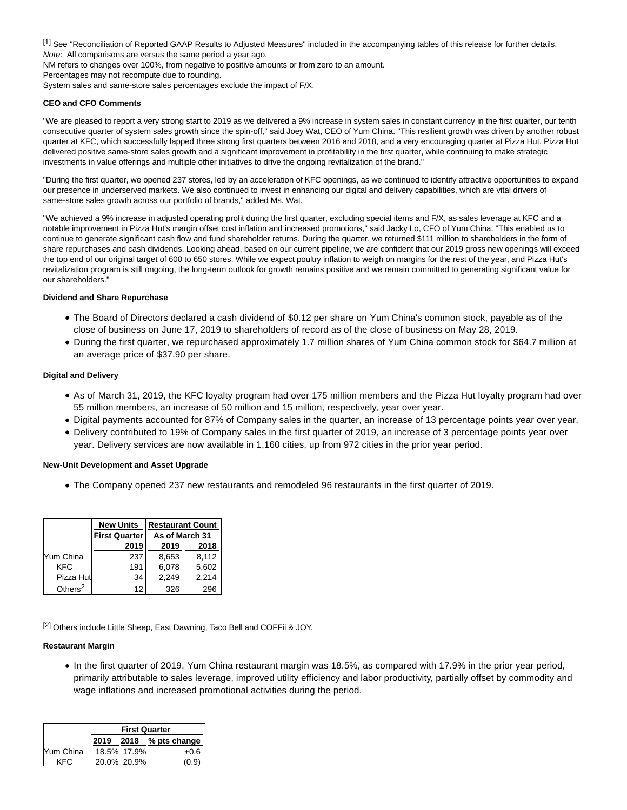[1] See "Reconciliation of Reported GAAP Results to Adjusted Measures" included in the accompanying tables of this release for further details. Note: All comparisons are versus the same period a year ago.

NM refers to changes over 100%, from negative to positive amounts or from zero to an amount.

Percentages may not recompute due to rounding.

System sales and same-store sales percentages exclude the impact of F/X.

#### **CEO and CFO Comments**

"We are pleased to report a very strong start to 2019 as we delivered a 9% increase in system sales in constant currency in the first quarter, our tenth consecutive quarter of system sales growth since the spin-off," said Joey Wat, CEO of Yum China. "This resilient growth was driven by another robust quarter at KFC, which successfully lapped three strong first quarters between 2016 and 2018, and a very encouraging quarter at Pizza Hut. Pizza Hut delivered positive same-store sales growth and a significant improvement in profitability in the first quarter, while continuing to make strategic investments in value offerings and multiple other initiatives to drive the ongoing revitalization of the brand."

"During the first quarter, we opened 237 stores, led by an acceleration of KFC openings, as we continued to identify attractive opportunities to expand our presence in underserved markets. We also continued to invest in enhancing our digital and delivery capabilities, which are vital drivers of same-store sales growth across our portfolio of brands," added Ms. Wat.

"We achieved a 9% increase in adjusted operating profit during the first quarter, excluding special items and F/X, as sales leverage at KFC and a notable improvement in Pizza Hut's margin offset cost inflation and increased promotions," said Jacky Lo, CFO of Yum China. "This enabled us to continue to generate significant cash flow and fund shareholder returns. During the quarter, we returned \$111 million to shareholders in the form of share repurchases and cash dividends. Looking ahead, based on our current pipeline, we are confident that our 2019 gross new openings will exceed the top end of our original target of 600 to 650 stores. While we expect poultry inflation to weigh on margins for the rest of the year, and Pizza Hut's revitalization program is still ongoing, the long-term outlook for growth remains positive and we remain committed to generating significant value for our shareholders."

# **Dividend and Share Repurchase**

- The Board of Directors declared a cash dividend of \$0.12 per share on Yum China's common stock, payable as of the close of business on June 17, 2019 to shareholders of record as of the close of business on May 28, 2019.
- During the first quarter, we repurchased approximately 1.7 million shares of Yum China common stock for \$64.7 million at an average price of \$37.90 per share.

# **Digital and Delivery**

- As of March 31, 2019, the KFC loyalty program had over 175 million members and the Pizza Hut loyalty program had over 55 million members, an increase of 50 million and 15 million, respectively, year over year.
- Digital payments accounted for 87% of Company sales in the quarter, an increase of 13 percentage points year over year.
- Delivery contributed to 19% of Company sales in the first quarter of 2019, an increase of 3 percentage points year over year. Delivery services are now available in 1,160 cities, up from 972 cities in the prior year period.

# **New-Unit Development and Asset Upgrade**

The Company opened 237 new restaurants and remodeled 96 restaurants in the first quarter of 2019.

|                     | <b>New Units</b>     | <b>Restaurant Count</b> |       |  |
|---------------------|----------------------|-------------------------|-------|--|
|                     | <b>First Quarter</b> | As of March 31          |       |  |
|                     | 2019                 | 2018<br>2019            |       |  |
| Yum China           | 237                  | 8.653                   | 8,112 |  |
| KFC.                | 191                  | 6,078                   | 5,602 |  |
| Pizza Hut           | 34                   | 2,249                   | 2,214 |  |
| Others <sup>2</sup> | 12                   | 326                     | 296   |  |

[2] Others include Little Sheep, East Dawning, Taco Bell and COFFii & JOY.

# **Restaurant Margin**

In the first quarter of 2019, Yum China restaurant margin was 18.5%, as compared with 17.9% in the prior year period, primarily attributable to sales leverage, improved utility efficiency and labor productivity, partially offset by commodity and wage inflations and increased promotional activities during the period.

|           | <b>First Quarter</b> |             |                        |  |  |  |
|-----------|----------------------|-------------|------------------------|--|--|--|
|           |                      |             | 2019 2018 % pts change |  |  |  |
| Yum China |                      | 18.5% 17.9% | $+0.6$                 |  |  |  |
| KFC.      |                      | 20.0% 20.9% | (0.9)                  |  |  |  |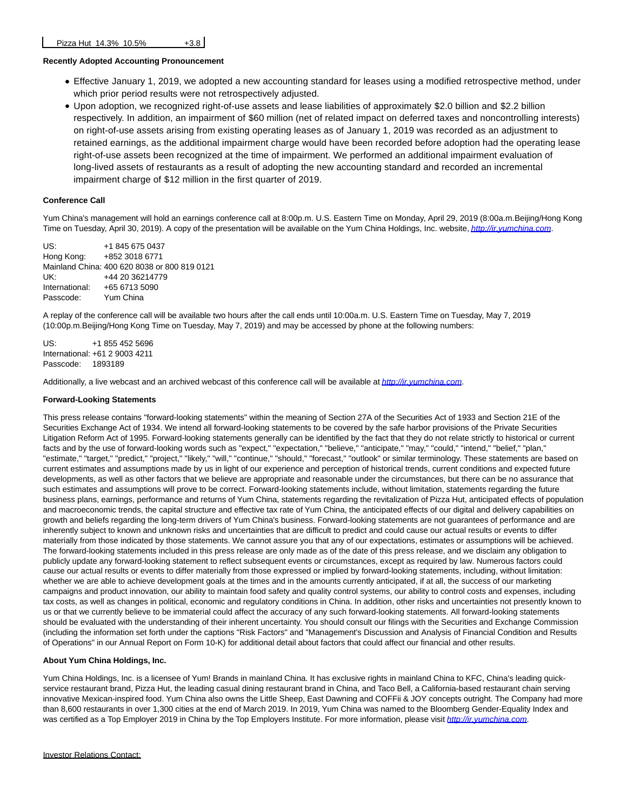## **Recently Adopted Accounting Pronouncement**

- Effective January 1, 2019, we adopted a new accounting standard for leases using a modified retrospective method, under which prior period results were not retrospectively adjusted.
- Upon adoption, we recognized right-of-use assets and lease liabilities of approximately \$2.0 billion and \$2.2 billion respectively. In addition, an impairment of \$60 million (net of related impact on deferred taxes and noncontrolling interests) on right-of-use assets arising from existing operating leases as of January 1, 2019 was recorded as an adjustment to retained earnings, as the additional impairment charge would have been recorded before adoption had the operating lease right-of-use assets been recognized at the time of impairment. We performed an additional impairment evaluation of long-lived assets of restaurants as a result of adopting the new accounting standard and recorded an incremental impairment charge of \$12 million in the first quarter of 2019.

# **Conference Call**

Yum China's management will hold an earnings conference call at 8:00p.m. U.S. Eastern Time on Monday, April 29, 2019 (8:00a.m.Beijing/Hong Kong Time on Tuesday, April 30, 2019). A copy of the presentation will be available on the Yum China Holdings, Inc. website, [http://ir.yumchina.com](http://ir.yumchina.com/).

| US:            | +1 845 675 0437                              |
|----------------|----------------------------------------------|
| Hong Kong:     | +852 3018 6771                               |
|                | Mainland China: 400 620 8038 or 800 819 0121 |
| UK.            | +44 20 36214779                              |
| International: | +65 6713 5090                                |
| Passcode:      | Yum China                                    |

A replay of the conference call will be available two hours after the call ends until 10:00a.m. U.S. Eastern Time on Tuesday, May 7, 2019 (10:00p.m.Beijing/Hong Kong Time on Tuesday, May 7, 2019) and may be accessed by phone at the following numbers:

US: +1 855 452 5696 International: +61 2 9003 4211 Passcode: 1893189

Additionally, a live webcast and an archived webcast of this conference call will be available at [http://ir.yumchina.com](http://ir.yumchina.com/).

#### **Forward-Looking Statements**

This press release contains "forward-looking statements" within the meaning of Section 27A of the Securities Act of 1933 and Section 21E of the Securities Exchange Act of 1934. We intend all forward-looking statements to be covered by the safe harbor provisions of the Private Securities Litigation Reform Act of 1995. Forward-looking statements generally can be identified by the fact that they do not relate strictly to historical or current facts and by the use of forward-looking words such as "expect," "expectation," "believe," "anticipate," "may," "could," "intend," "belief," "plan," "estimate," "target," "predict," "project," "likely," "will," "continue," "should," "forecast," "outlook" or similar terminology. These statements are based on current estimates and assumptions made by us in light of our experience and perception of historical trends, current conditions and expected future developments, as well as other factors that we believe are appropriate and reasonable under the circumstances, but there can be no assurance that such estimates and assumptions will prove to be correct. Forward-looking statements include, without limitation, statements regarding the future business plans, earnings, performance and returns of Yum China, statements regarding the revitalization of Pizza Hut, anticipated effects of population and macroeconomic trends, the capital structure and effective tax rate of Yum China, the anticipated effects of our digital and delivery capabilities on growth and beliefs regarding the long-term drivers of Yum China's business. Forward-looking statements are not guarantees of performance and are inherently subject to known and unknown risks and uncertainties that are difficult to predict and could cause our actual results or events to differ materially from those indicated by those statements. We cannot assure you that any of our expectations, estimates or assumptions will be achieved. The forward-looking statements included in this press release are only made as of the date of this press release, and we disclaim any obligation to publicly update any forward-looking statement to reflect subsequent events or circumstances, except as required by law. Numerous factors could cause our actual results or events to differ materially from those expressed or implied by forward-looking statements, including, without limitation: whether we are able to achieve development goals at the times and in the amounts currently anticipated, if at all, the success of our marketing campaigns and product innovation, our ability to maintain food safety and quality control systems, our ability to control costs and expenses, including tax costs, as well as changes in political, economic and regulatory conditions in China. In addition, other risks and uncertainties not presently known to us or that we currently believe to be immaterial could affect the accuracy of any such forward-looking statements. All forward-looking statements should be evaluated with the understanding of their inherent uncertainty. You should consult our filings with the Securities and Exchange Commission (including the information set forth under the captions "Risk Factors" and "Management's Discussion and Analysis of Financial Condition and Results of Operations" in our Annual Report on Form 10-K) for additional detail about factors that could affect our financial and other results.

#### **About Yum China Holdings, Inc.**

Yum China Holdings, Inc. is a licensee of Yum! Brands in mainland China. It has exclusive rights in mainland China to KFC, China's leading quickservice restaurant brand, Pizza Hut, the leading casual dining restaurant brand in China, and Taco Bell, a California-based restaurant chain serving innovative Mexican-inspired food. Yum China also owns the Little Sheep, East Dawning and COFFii & JOY concepts outright. The Company had more than 8,600 restaurants in over 1,300 cities at the end of March 2019. In 2019, Yum China was named to the Bloomberg Gender-Equality Index and was certified as a Top Employer 2019 in China by the Top Employers Institute. For more information, please visit [http://ir.yumchina.com](http://ir.yumchina.com/).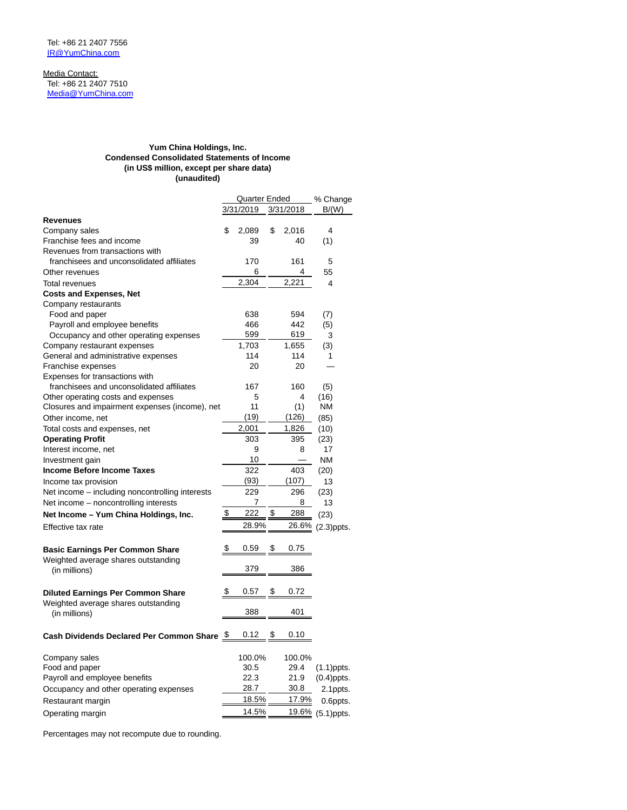Media Contact: Tel: +86 21 2407 7510 [Media@YumChina.com](mailto:Media@YumChina.com) 

# **Yum China Holdings, Inc. Condensed Consolidated Statements of Income (in US\$ million, except per share data) (unaudited)**

|                                                 | Quarter Ended |             | % Change         |  |
|-------------------------------------------------|---------------|-------------|------------------|--|
|                                                 | 3/31/2019     | 3/31/2018   | B/(W)            |  |
| Revenues                                        |               |             |                  |  |
| Company sales                                   | \$<br>2,089   | \$<br>2,016 | 4                |  |
| Franchise fees and income                       | 39            | 40          | (1)              |  |
| Revenues from transactions with                 |               |             |                  |  |
| franchisees and unconsolidated affiliates       | 170           | 161         | 5                |  |
| Other revenues                                  | 6             | 4           | 55               |  |
| <b>Total revenues</b>                           | 2,304         | 2,221       | 4                |  |
| <b>Costs and Expenses, Net</b>                  |               |             |                  |  |
| Company restaurants                             |               |             |                  |  |
| Food and paper                                  | 638           | 594         | (7)              |  |
| Payroll and employee benefits                   | 466           | 442         | (5)              |  |
| Occupancy and other operating expenses          | 599           | 619         | 3                |  |
| Company restaurant expenses                     | 1,703         | 1,655       | (3)              |  |
| General and administrative expenses             | 114           | 114         | 1                |  |
| Franchise expenses                              | 20            | 20          |                  |  |
| Expenses for transactions with                  |               |             |                  |  |
| franchisees and unconsolidated affiliates       | 167           | 160         | (5)              |  |
| Other operating costs and expenses              | 5             | 4           | (16)             |  |
| Closures and impairment expenses (income), net  | 11            | (1)         | ΝM               |  |
| Other income, net                               | (19)          | (126)       | (85)             |  |
| Total costs and expenses, net                   | 2,001         | 1,826       | (10)             |  |
| <b>Operating Profit</b>                         | 303           | 395         | (23)             |  |
| Interest income, net                            | 9             | 8           | 17               |  |
| Investment gain                                 | 10            |             | <b>NM</b>        |  |
| <b>Income Before Income Taxes</b>               | 322           | 403         | (20)             |  |
| Income tax provision                            | (93)          | (107)       | 13               |  |
| Net income – including noncontrolling interests | 229           | 296         | (23)             |  |
| Net income - noncontrolling interests           | 7             | 8           | 13               |  |
| Net Income - Yum China Holdings, Inc.           | \$<br>222     | \$<br>288   | (23)             |  |
| Effective tax rate                              | 28.9%         |             | 26.6% (2.3)ppts. |  |
| <b>Basic Earnings Per Common Share</b>          | \$<br>0.59    | \$<br>0.75  |                  |  |
| Weighted average shares outstanding             |               |             |                  |  |
| (in millions)                                   | 379           | 386         |                  |  |
|                                                 |               |             |                  |  |
| <b>Diluted Earnings Per Common Share</b>        | \$<br>0.57    | \$<br>0.72  |                  |  |
| Weighted average shares outstanding             |               |             |                  |  |
| (in millions)                                   | 388           | 401         |                  |  |
| Cash Dividends Declared Per Common Share \$     | 0.12          | \$<br>0.10  |                  |  |
| Company sales                                   | 100.0%        | 100.0%      |                  |  |
| Food and paper                                  | 30.5          | 29.4        | $(1.1)$ ppts.    |  |
| Payroll and employee benefits                   | 22.3          | 21.9        | $(0.4)$ ppts.    |  |
| Occupancy and other operating expenses          | 28.7          | 30.8        | 2.1ppts.         |  |
| Restaurant margin                               | 18.5%         | 17.9%       | 0.6ppts.         |  |
| Operating margin                                | 14.5%         |             | 19.6% (5.1)ppts. |  |
|                                                 |               |             |                  |  |

Percentages may not recompute due to rounding.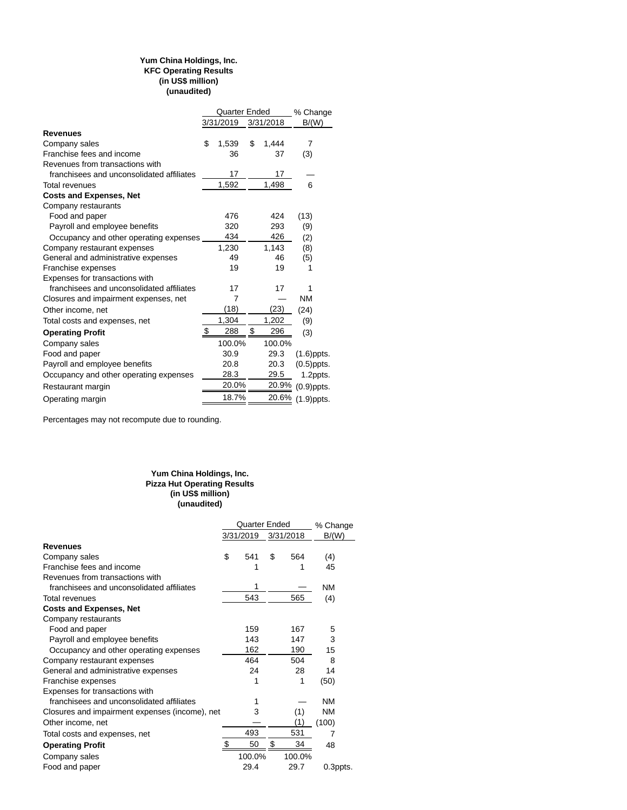# **Yum China Holdings, Inc. KFC Operating Results (in US\$ million) (unaudited)**

|                                           | Quarter Ended |           |    |               | % Change      |
|-------------------------------------------|---------------|-----------|----|---------------|---------------|
|                                           |               | 3/31/2019 |    | 3/31/2018     | B/(W)         |
| <b>Revenues</b>                           |               |           |    |               |               |
| Company sales                             | \$            | 1,539     | \$ | 1,444         | 7             |
| Franchise fees and income                 |               | 36        |    | 37            | (3)           |
| Revenues from transactions with           |               |           |    |               |               |
| franchisees and unconsolidated affiliates |               | 17        |    | 17            |               |
| Total revenues                            |               | 1,592     |    | 1,498         | 6             |
| <b>Costs and Expenses, Net</b>            |               |           |    |               |               |
| Company restaurants                       |               |           |    |               |               |
| Food and paper                            |               | 476       |    | 424           | (13)          |
| Payroll and employee benefits             |               | 320       |    | 293           | (9)           |
| Occupancy and other operating expenses    |               | 434       |    | 426           | (2)           |
| Company restaurant expenses               |               | 1,230     |    | 1,143         | (8)           |
| General and administrative expenses       |               | 49        |    | 46            | (5)           |
| Franchise expenses                        |               | 19        |    | 19            | 1             |
| Expenses for transactions with            |               |           |    |               |               |
| franchisees and unconsolidated affiliates |               | 17        |    | 17            | 1             |
| Closures and impairment expenses, net     |               | 7         |    |               | <b>NM</b>     |
| Other income, net                         |               | (18)      |    | (23)          | (24)          |
| Total costs and expenses, net             |               | 1,304     |    | 1,202         | (9)           |
| <b>Operating Profit</b>                   | \$            | 288       | \$ | 296           | (3)           |
| Company sales                             |               | 100.0%    |    | 100.0%        |               |
| Food and paper                            |               | 30.9      |    | 29.3          | $(1.6)$ ppts. |
| Payroll and employee benefits             |               | 20.8      |    | 20.3          | $(0.5)$ ppts. |
| Occupancy and other operating expenses    |               | 28.3      |    | 29.5          | 1.2ppts.      |
| Restaurant margin                         |               | 20.0%     |    | <u> 20.9%</u> | $(0.9)$ ppts. |
| Operating margin                          |               | 18.7%     |    | 20.6%         | $(1.9)$ ppts. |

Percentages may not recompute due to rounding.

# **Yum China Holdings, Inc. Pizza Hut Operating Results (in US\$ million) (unaudited)**

|                                                | Quarter Ended |                        |    |        | % Change  |
|------------------------------------------------|---------------|------------------------|----|--------|-----------|
|                                                |               | 3/31/2019<br>3/31/2018 |    |        | B/(W)     |
| <b>Revenues</b>                                |               |                        |    |        |           |
| Company sales                                  | \$            | 541                    | \$ | 564    | (4)       |
| Franchise fees and income                      |               |                        |    |        | 45        |
| Revenues from transactions with                |               |                        |    |        |           |
| franchisees and unconsolidated affiliates      |               |                        |    |        | NM        |
| Total revenues                                 |               | 543                    |    | 565    | (4)       |
| <b>Costs and Expenses, Net</b>                 |               |                        |    |        |           |
| Company restaurants                            |               |                        |    |        |           |
| Food and paper                                 |               | 159                    |    | 167    | 5         |
| Payroll and employee benefits                  |               | 143                    |    | 147    | 3         |
| Occupancy and other operating expenses         |               | 162                    |    | 190    | 15        |
| Company restaurant expenses                    |               | 464                    |    | 504    | 8         |
| General and administrative expenses            |               | 24                     |    | 28     | 14        |
| Franchise expenses                             |               |                        |    | 1      | (50)      |
| Expenses for transactions with                 |               |                        |    |        |           |
| franchisees and unconsolidated affiliates      |               |                        |    |        | NM        |
| Closures and impairment expenses (income), net |               | 3                      |    | (1)    | <b>NM</b> |
| Other income, net                              |               |                        |    | (1)    | (100)     |
| Total costs and expenses, net                  |               | 493                    |    | 531    | 7         |
| <b>Operating Profit</b>                        |               | 50                     | \$ | 34     | 48        |
| Company sales                                  |               | 100.0%                 |    | 100.0% |           |
| Food and paper                                 |               | 29.4                   |    | 29.7   | 0.3ppts.  |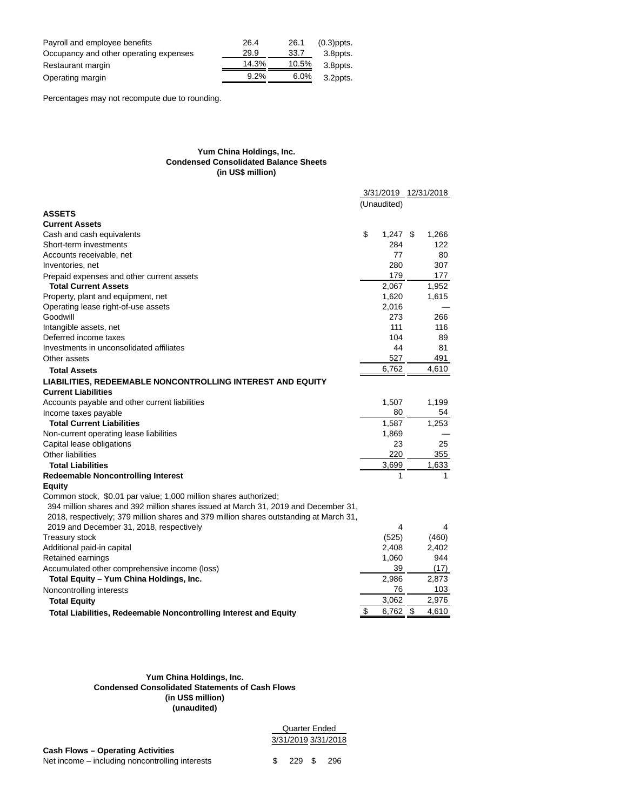| Payroll and employee benefits<br>Occupancy and other operating expenses | 26.4<br>29.9 | 26.1<br>33.7 | $(0.3)$ ppts.<br>3.8ppts. |
|-------------------------------------------------------------------------|--------------|--------------|---------------------------|
| Restaurant margin                                                       | 14.3%        | 10.5%        | 3.8ppts.                  |
| Operating margin                                                        | 9.2%         | $6.0\%$      | 3.2ppts.                  |

Percentages may not recompute due to rounding.

#### **Yum China Holdings, Inc. Condensed Consolidated Balance Sheets (in US\$ million)**

|                                                                                          |                  | 3/31/2019 12/31/2018 |
|------------------------------------------------------------------------------------------|------------------|----------------------|
|                                                                                          | (Unaudited)      |                      |
| <b>ASSETS</b>                                                                            |                  |                      |
| <b>Current Assets</b><br>Cash and cash equivalents                                       | \$<br>$1.247$ \$ | 1.266                |
| Short-term investments                                                                   | 284              | 122                  |
|                                                                                          | 77               | 80                   |
| Accounts receivable, net                                                                 | 280              | 307                  |
| Inventories, net                                                                         | 179              | 177                  |
| Prepaid expenses and other current assets<br><b>Total Current Assets</b>                 | 2,067            | 1,952                |
| Property, plant and equipment, net                                                       | 1,620            | 1,615                |
| Operating lease right-of-use assets                                                      | 2,016            |                      |
| Goodwill                                                                                 | 273              | 266                  |
| Intangible assets, net                                                                   | 111              | 116                  |
| Deferred income taxes                                                                    | 104              | 89                   |
| Investments in unconsolidated affiliates                                                 | 44               | 81                   |
| Other assets                                                                             | 527              | 491                  |
| <b>Total Assets</b>                                                                      | 6,762            | 4,610                |
|                                                                                          |                  |                      |
| <b>LIABILITIES, REDEEMABLE NONCONTROLLING INTEREST AND EQUITY</b>                        |                  |                      |
| <b>Current Liabilities</b>                                                               |                  |                      |
| Accounts payable and other current liabilities                                           | 1,507            | 1,199                |
| Income taxes payable                                                                     | 80               | 54                   |
| <b>Total Current Liabilities</b>                                                         | 1,587            | 1,253                |
| Non-current operating lease liabilities                                                  | 1,869            |                      |
| Capital lease obligations                                                                | 23               | 25                   |
| Other liabilities                                                                        | 220              | 355                  |
| <b>Total Liabilities</b>                                                                 | 3,699            | 1,633                |
| <b>Redeemable Noncontrolling Interest</b>                                                | 1                | 1                    |
| <b>Equity</b>                                                                            |                  |                      |
| Common stock, \$0.01 par value; 1,000 million shares authorized;                         |                  |                      |
| 394 million shares and 392 million shares issued at March 31, 2019 and December 31,      |                  |                      |
| 2018, respectively; 379 million shares and 379 million shares outstanding at March 31,   |                  |                      |
| 2019 and December 31, 2018, respectively                                                 | 4                | 4                    |
| <b>Treasury stock</b><br>Additional paid-in capital                                      | (525)<br>2,408   | (460)<br>2,402       |
| Retained earnings                                                                        | 1,060            | 944                  |
|                                                                                          | 39               | (17)                 |
| Accumulated other comprehensive income (loss)<br>Total Equity - Yum China Holdings, Inc. | 2,986            | 2,873                |
|                                                                                          | 76               | 103                  |
| Noncontrolling interests                                                                 |                  |                      |
| <b>Total Equity</b>                                                                      | 3,062            | 2,976                |
| Total Liabilities, Redeemable Noncontrolling Interest and Equity                         | 6,762 \$<br>\$   | 4,610                |

# **Yum China Holdings, Inc. Condensed Consolidated Statements of Cash Flows (in US\$ million) (unaudited)**

Quarter Ended

|                                                 |    |        | 3/31/2019 3/31/2018 |
|-------------------------------------------------|----|--------|---------------------|
| <b>Cash Flows - Operating Activities</b>        |    |        |                     |
| Net income – including noncontrolling interests | S. | 229 \$ | -296                |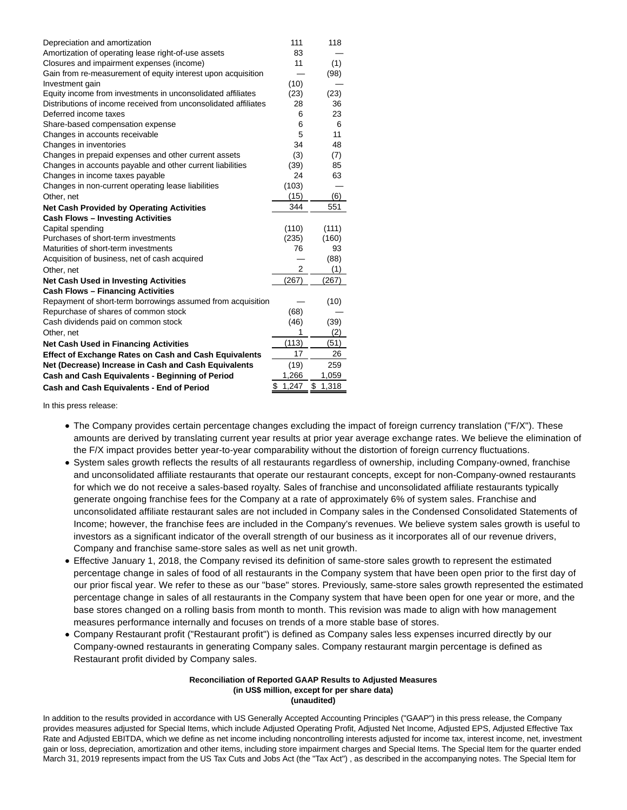| Depreciation and amortization                                   | 111     | 118         |
|-----------------------------------------------------------------|---------|-------------|
| Amortization of operating lease right-of-use assets             | 83      |             |
| Closures and impairment expenses (income)                       | 11      | (1)         |
| Gain from re-measurement of equity interest upon acquisition    |         | (98)        |
| Investment gain                                                 | (10)    |             |
| Equity income from investments in unconsolidated affiliates     | (23)    | (23)        |
| Distributions of income received from unconsolidated affiliates | 28      | 36          |
| Deferred income taxes                                           | 6       | 23          |
| Share-based compensation expense                                | 6       | 6           |
| Changes in accounts receivable                                  | 5       | 11          |
| Changes in inventories                                          | 34      | 48          |
| Changes in prepaid expenses and other current assets            | (3)     | (7)         |
| Changes in accounts payable and other current liabilities       | (39)    | 85          |
| Changes in income taxes payable                                 | 24      | 63          |
| Changes in non-current operating lease liabilities              | (103)   |             |
| Other, net                                                      | (15)    | (6)         |
| <b>Net Cash Provided by Operating Activities</b>                | 344     | 551         |
| <b>Cash Flows - Investing Activities</b>                        |         |             |
| Capital spending                                                | (110)   | (111)       |
| Purchases of short-term investments                             | (235)   | (160)       |
| Maturities of short-term investments                            | 76      | 93          |
| Acquisition of business, net of cash acquired                   |         | (88)        |
| Other, net                                                      | 2       | (1)         |
| <b>Net Cash Used in Investing Activities</b>                    | (267)   | (267)       |
| <b>Cash Flows - Financing Activities</b>                        |         |             |
| Repayment of short-term borrowings assumed from acquisition     |         | (10)        |
| Repurchase of shares of common stock                            | (68)    |             |
| Cash dividends paid on common stock                             | (46)    | (39)        |
| Other, net                                                      | 1       | (2)         |
| <b>Net Cash Used in Financing Activities</b>                    | (113)   | (51)        |
| <b>Effect of Exchange Rates on Cash and Cash Equivalents</b>    | 17      | 26          |
| Net (Decrease) Increase in Cash and Cash Equivalents            | (19)    | 259         |
| Cash and Cash Equivalents - Beginning of Period                 | 1,266   | 1,059       |
| Cash and Cash Equivalents - End of Period                       | \$1,247 | \$<br>1,318 |

In this press release:

- The Company provides certain percentage changes excluding the impact of foreign currency translation ("F/X"). These amounts are derived by translating current year results at prior year average exchange rates. We believe the elimination of the F/X impact provides better year-to-year comparability without the distortion of foreign currency fluctuations.
- System sales growth reflects the results of all restaurants regardless of ownership, including Company-owned, franchise and unconsolidated affiliate restaurants that operate our restaurant concepts, except for non-Company-owned restaurants for which we do not receive a sales-based royalty. Sales of franchise and unconsolidated affiliate restaurants typically generate ongoing franchise fees for the Company at a rate of approximately 6% of system sales. Franchise and unconsolidated affiliate restaurant sales are not included in Company sales in the Condensed Consolidated Statements of Income; however, the franchise fees are included in the Company's revenues. We believe system sales growth is useful to investors as a significant indicator of the overall strength of our business as it incorporates all of our revenue drivers, Company and franchise same-store sales as well as net unit growth.
- Effective January 1, 2018, the Company revised its definition of same-store sales growth to represent the estimated percentage change in sales of food of all restaurants in the Company system that have been open prior to the first day of our prior fiscal year. We refer to these as our "base" stores. Previously, same-store sales growth represented the estimated percentage change in sales of all restaurants in the Company system that have been open for one year or more, and the base stores changed on a rolling basis from month to month. This revision was made to align with how management measures performance internally and focuses on trends of a more stable base of stores.
- Company Restaurant profit ("Restaurant profit") is defined as Company sales less expenses incurred directly by our Company-owned restaurants in generating Company sales. Company restaurant margin percentage is defined as Restaurant profit divided by Company sales.

## **Reconciliation of Reported GAAP Results to Adjusted Measures (in US\$ million, except for per share data) (unaudited)**

In addition to the results provided in accordance with US Generally Accepted Accounting Principles ("GAAP") in this press release, the Company provides measures adjusted for Special Items, which include Adjusted Operating Profit, Adjusted Net Income, Adjusted EPS, Adjusted Effective Tax Rate and Adjusted EBITDA, which we define as net income including noncontrolling interests adjusted for income tax, interest income, net, investment gain or loss, depreciation, amortization and other items, including store impairment charges and Special Items. The Special Item for the quarter ended March 31, 2019 represents impact from the US Tax Cuts and Jobs Act (the "Tax Act") , as described in the accompanying notes. The Special Item for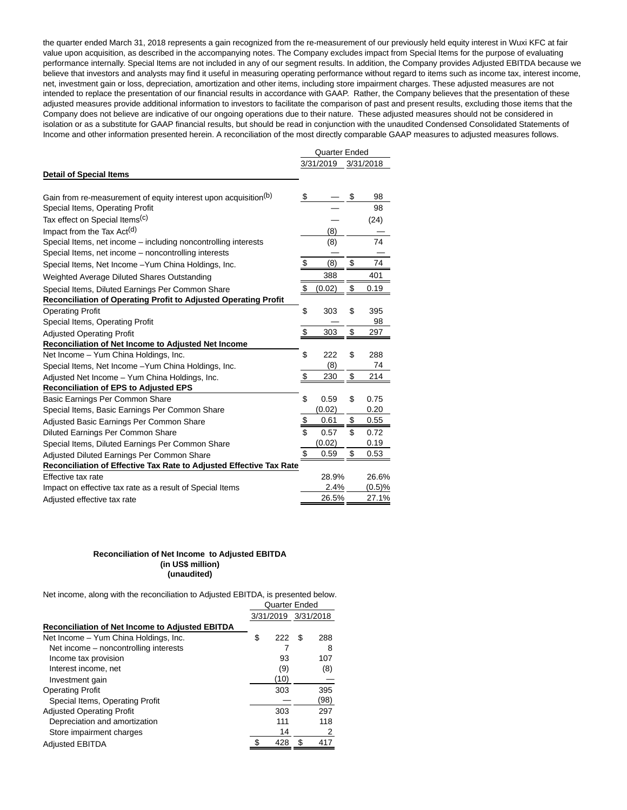the quarter ended March 31, 2018 represents a gain recognized from the re-measurement of our previously held equity interest in Wuxi KFC at fair value upon acquisition, as described in the accompanying notes. The Company excludes impact from Special Items for the purpose of evaluating performance internally. Special Items are not included in any of our segment results. In addition, the Company provides Adjusted EBITDA because we believe that investors and analysts may find it useful in measuring operating performance without regard to items such as income tax, interest income, net, investment gain or loss, depreciation, amortization and other items, including store impairment charges. These adjusted measures are not intended to replace the presentation of our financial results in accordance with GAAP. Rather, the Company believes that the presentation of these adjusted measures provide additional information to investors to facilitate the comparison of past and present results, excluding those items that the Company does not believe are indicative of our ongoing operations due to their nature. These adjusted measures should not be considered in isolation or as a substitute for GAAP financial results, but should be read in conjunction with the unaudited Condensed Consolidated Statements of Income and other information presented herein. A reconciliation of the most directly comparable GAAP measures to adjusted measures follows.

Quarter Ended

|                                                                             |               | Quarter Ended |    |           |  |  |  |
|-----------------------------------------------------------------------------|---------------|---------------|----|-----------|--|--|--|
|                                                                             |               | 3/31/2019     |    | 3/31/2018 |  |  |  |
| <b>Detail of Special Items</b>                                              |               |               |    |           |  |  |  |
|                                                                             |               |               |    |           |  |  |  |
| Gain from re-measurement of equity interest upon acquisition <sup>(b)</sup> | \$            |               | \$ | 98        |  |  |  |
| Special Items, Operating Profit                                             |               |               |    | 98        |  |  |  |
| Tax effect on Special Items <sup>(c)</sup>                                  |               |               |    | (24)      |  |  |  |
| Impact from the Tax Act <sup>(d)</sup>                                      |               | (8)           |    |           |  |  |  |
| Special Items, net income - including noncontrolling interests              |               | (8)           |    | 74        |  |  |  |
| Special Items, net income - noncontrolling interests                        |               |               |    |           |  |  |  |
| Special Items, Net Income - Yum China Holdings, Inc.                        | \$            | (8)           | \$ | 74        |  |  |  |
| Weighted Average Diluted Shares Outstanding                                 |               | 388           |    | 401       |  |  |  |
| Special Items, Diluted Earnings Per Common Share                            | \$            | (0.02)        | \$ | 0.19      |  |  |  |
| Reconciliation of Operating Profit to Adjusted Operating Profit             |               |               |    |           |  |  |  |
| <b>Operating Profit</b>                                                     | \$            | 303           | \$ | 395       |  |  |  |
| Special Items, Operating Profit                                             |               |               |    | 98        |  |  |  |
| <b>Adjusted Operating Profit</b>                                            | \$            | 303           | \$ | 297       |  |  |  |
| Reconciliation of Net Income to Adjusted Net Income                         |               |               |    |           |  |  |  |
| Net Income - Yum China Holdings, Inc.                                       | \$            | 222           | \$ | 288       |  |  |  |
| Special Items, Net Income - Yum China Holdings, Inc.                        |               | (8)           |    | 74        |  |  |  |
| Adjusted Net Income - Yum China Holdings, Inc.                              | \$            | 230           | \$ | 214       |  |  |  |
| <b>Reconciliation of EPS to Adjusted EPS</b>                                |               |               |    |           |  |  |  |
| Basic Earnings Per Common Share                                             | \$            | 0.59          | \$ | 0.75      |  |  |  |
| Special Items, Basic Earnings Per Common Share                              |               | (0.02)        |    | 0.20      |  |  |  |
| Adjusted Basic Earnings Per Common Share                                    | $\frac{1}{2}$ | 0.61          | \$ | 0.55      |  |  |  |
| Diluted Earnings Per Common Share                                           | \$            | 0.57          | \$ | 0.72      |  |  |  |
| Special Items, Diluted Earnings Per Common Share                            |               | (0.02)        |    | 0.19      |  |  |  |
| Adjusted Diluted Earnings Per Common Share                                  | \$            | 0.59          | \$ | 0.53      |  |  |  |
| Reconciliation of Effective Tax Rate to Adjusted Effective Tax Rate         |               |               |    |           |  |  |  |
| Effective tax rate                                                          |               | 28.9%         |    | 26.6%     |  |  |  |
| Impact on effective tax rate as a result of Special Items                   |               | 2.4%          |    | (0.5)%    |  |  |  |
| Adjusted effective tax rate                                                 |               | 26.5%         |    | 27.1%     |  |  |  |

## **Reconciliation of Net Income to Adjusted EBITDA (in US\$ million) (unaudited)**

Net income, along with the reconciliation to Adjusted EBITDA, is presented below.

|                                                        | Quarter Ended       |      |     |      |
|--------------------------------------------------------|---------------------|------|-----|------|
|                                                        | 3/31/2019 3/31/2018 |      |     |      |
| <b>Reconciliation of Net Income to Adjusted EBITDA</b> |                     |      |     |      |
| Net Income – Yum China Holdings, Inc.                  | \$                  | 222  | \$. | 288  |
| Net income – noncontrolling interests                  |                     |      |     | 8    |
| Income tax provision                                   |                     | 93   |     | 107  |
| Interest income, net                                   |                     | (9)  |     | (8)  |
| Investment gain                                        |                     | (10) |     |      |
| <b>Operating Profit</b>                                |                     | 303  |     | 395  |
| Special Items, Operating Profit                        |                     |      |     | (98) |
| <b>Adjusted Operating Profit</b>                       |                     | 303  |     | 297  |
| Depreciation and amortization                          |                     | 111  |     | 118  |
| Store impairment charges                               |                     | 14   |     | 2    |
| <b>Adjusted EBITDA</b>                                 |                     | 428  | S   | 417  |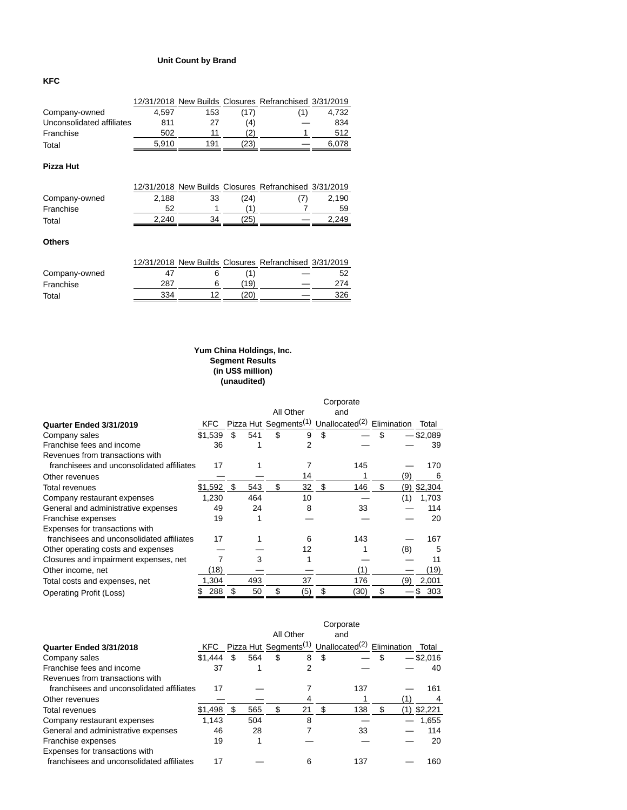# **Unit Count by Brand**

# **KFC**

|                           |       |     |      | 12/31/2018 New Builds Closures Refranchised 3/31/2019 |       |
|---------------------------|-------|-----|------|-------------------------------------------------------|-------|
| Company-owned             | 4.597 | 153 | (17) | (1)                                                   | 4,732 |
| Unconsolidated affiliates | 811   | 27  | (4)  |                                                       | 834   |
| Franchise                 | 502   | 11  | 2)   |                                                       | 512   |
| Total                     | 5,910 | 191 | (23) |                                                       | 6,078 |
| Pizza Hut                 |       |     |      |                                                       |       |
|                           |       |     |      | 12/31/2018 New Builds Closures Refranchised 3/31/2019 |       |
| Company-owned             | 2,188 | 33  | (24) | (7)                                                   | 2,190 |
| Franchise                 | 52    |     |      |                                                       | 59    |

# **Others**

| <b>Others</b> |     |    |      |                                                       |     |
|---------------|-----|----|------|-------------------------------------------------------|-----|
|               |     |    |      | 12/31/2018 New Builds Closures Refranchised 3/31/2019 |     |
| Company-owned | 47  |    |      |                                                       | 52  |
| Franchise     | 287 | 6  | (19) |                                                       | 274 |
| Total         | 334 | 12 | 20)  |                                                       | 326 |

Total <u> 334 12 (20)</u> <u> 326</u>

Franchise  $\frac{52}{2,240} \frac{1}{34} \frac{(1)}{(25)} \frac{7}{1} \frac{59}{2,249}$ Total <u> 2,240 34 (25) 2,249</u>

# **Yum China Holdings, Inc. Segment Results (in US\$ million) (unaudited)**

|                                           |         |      |     | Corporate |           |    |                                                                          |    |     |             |
|-------------------------------------------|---------|------|-----|-----------|-----------|----|--------------------------------------------------------------------------|----|-----|-------------|
|                                           |         |      |     |           | All Other |    | and                                                                      |    |     |             |
| Quarter Ended 3/31/2019                   | KFC     |      |     |           |           |    | Pizza Hut Segments <sup>(1)</sup> Unallocated <sup>(2)</sup> Elimination |    |     | Total       |
| Company sales                             | \$1,539 | \$   | 541 | \$        | 9         | \$ |                                                                          | \$ |     | $-$ \$2,089 |
| Franchise fees and income                 | 36      |      |     |           | 2         |    |                                                                          |    |     | 39          |
| Revenues from transactions with           |         |      |     |           |           |    |                                                                          |    |     |             |
| franchisees and unconsolidated affiliates | 17      |      |     |           |           |    | 145                                                                      |    |     | 170         |
| Other revenues                            |         |      |     |           | 14        |    |                                                                          |    | (9) | 6           |
| Total revenues                            | \$1,592 | - \$ | 543 | \$        | 32        | \$ | 146                                                                      | \$ | (9) | \$2,304     |
| Company restaurant expenses               | 1,230   |      | 464 |           | 10        |    |                                                                          |    | (1) | 1,703       |
| General and administrative expenses       | 49      |      | 24  |           | 8         |    | 33                                                                       |    |     | 114         |
| Franchise expenses                        | 19      |      |     |           |           |    |                                                                          |    |     | 20          |
| Expenses for transactions with            |         |      |     |           |           |    |                                                                          |    |     |             |
| franchisees and unconsolidated affiliates | 17      |      |     |           | 6         |    | 143                                                                      |    |     | 167         |
| Other operating costs and expenses        |         |      |     |           | 12        |    |                                                                          |    | (8) | 5           |
| Closures and impairment expenses, net     |         |      | 3   |           |           |    |                                                                          |    |     | 11          |
| Other income, net                         | (18)    |      |     |           |           |    | (1)                                                                      |    |     | (19)        |
| Total costs and expenses, net             | 1,304   |      | 493 |           | 37        |    | 176                                                                      |    | (9) | 2,001       |
| <b>Operating Profit (Loss)</b>            | 288     |      | 50  | \$        | (5)       | S  | (30)                                                                     | \$ |     | 303         |

|                                           |         | Corporate |           |                                                                          |                  |  |  |  |  |
|-------------------------------------------|---------|-----------|-----------|--------------------------------------------------------------------------|------------------|--|--|--|--|
|                                           |         |           | All Other | and                                                                      |                  |  |  |  |  |
| Quarter Ended 3/31/2018                   | KFC.    |           |           | Pizza Hut Segments <sup>(1)</sup> Unallocated <sup>(2)</sup> Elimination | Total            |  |  |  |  |
| Company sales                             | \$1.444 | \$<br>564 | \$<br>8   | -\$                                                                      | S<br>$-$ \$2,016 |  |  |  |  |
| Franchise fees and income                 | 37      |           | 2         |                                                                          | 40               |  |  |  |  |
| Revenues from transactions with           |         |           |           |                                                                          |                  |  |  |  |  |
| franchisees and unconsolidated affiliates | 17      |           |           | 137                                                                      | 161              |  |  |  |  |
| Other revenues                            |         |           |           |                                                                          |                  |  |  |  |  |
| Total revenues                            | \$1,498 | 565<br>\$ | 21<br>S   | 138<br>\$                                                                | (1) \$2,221      |  |  |  |  |
| Company restaurant expenses               | 1.143   | 504       | 8         |                                                                          | 1,655            |  |  |  |  |
| General and administrative expenses       | 46      | 28        |           | 33                                                                       | 114              |  |  |  |  |
| Franchise expenses                        | 19      |           |           |                                                                          | 20               |  |  |  |  |
| Expenses for transactions with            |         |           |           |                                                                          |                  |  |  |  |  |
| franchisees and unconsolidated affiliates | 17      |           | 6         | 137                                                                      | 160              |  |  |  |  |